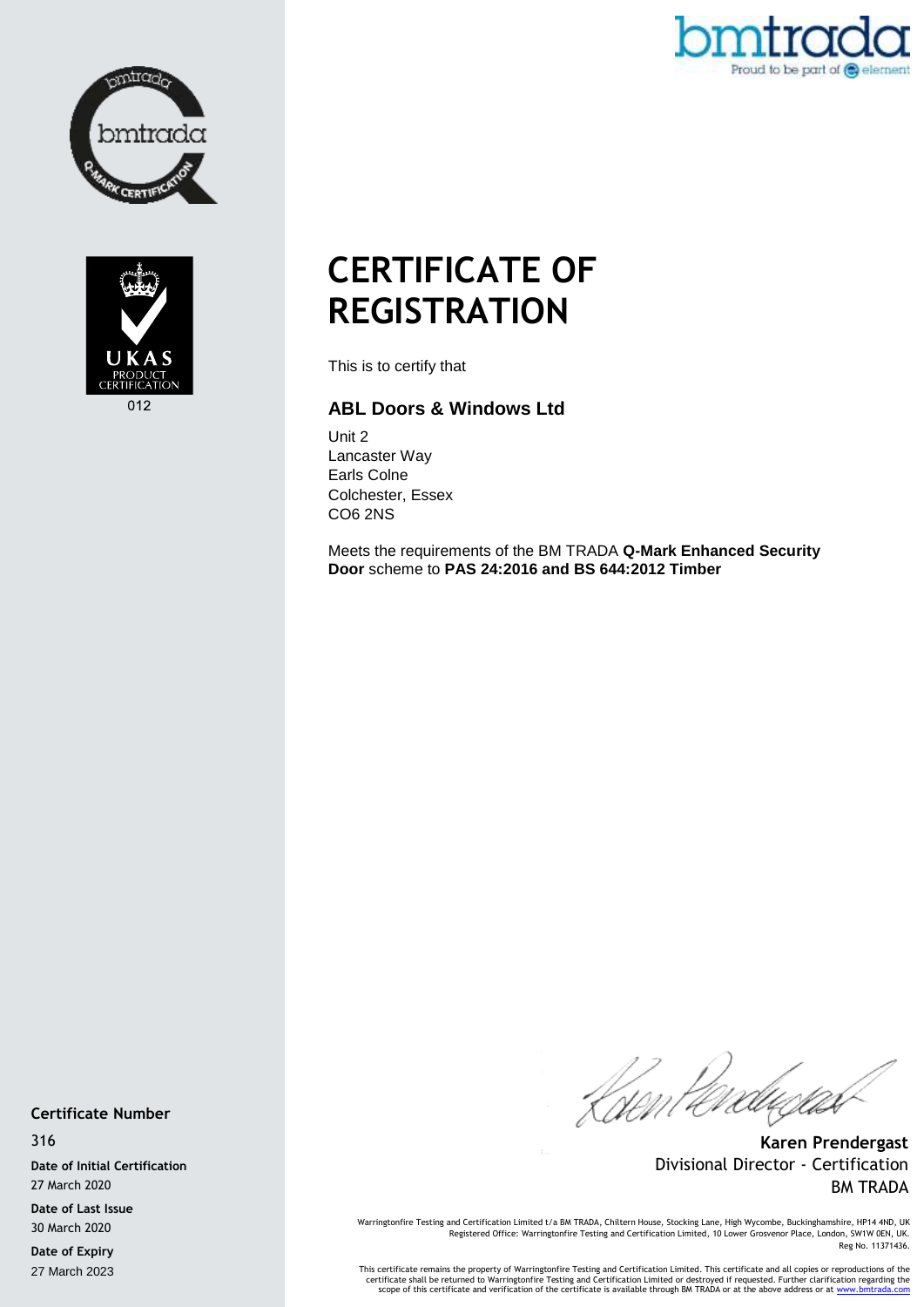



Proud to be part of @ element

## **CERTIFICATE OF REGISTRATION**

This is to certify that

## **ABL Doors & Windows Ltd**

Unit 2 Lancaster Way Earls Colne Colchester, Essex CO6 2NS

Meets the requirements of the BM TRADA **Q-Mark Enhanced Security Door** scheme to **PAS 24:2016 and BS 644:2012 Timber**

**Certificate Number**

316

**Date of Initial Certification** 27 March 2020

**Date of Last Issue** 30 March 2020

**Date of Expiry** 27 March 2023

Went *tereductu*s

**Karen Prendergast** Divisional Director - Certification BM TRADA

Warringtonfire Testing and Certification Limited t/a BM TRADA, Chiltern House, Stocking Lane, High Wycombe, Buckinghamshire, HP14 4ND, UK<br>Registered Office: Warringtonfire Testing and Certification Limited, 10 Lower Grosve Reg No. 11371436.

This certificate remains the property of Warringtonfire Testing and Certification Limited. This certificate and all copies or reproductions of the<br>Certificate shall be returned to Warringtonfire Testing and Certification L